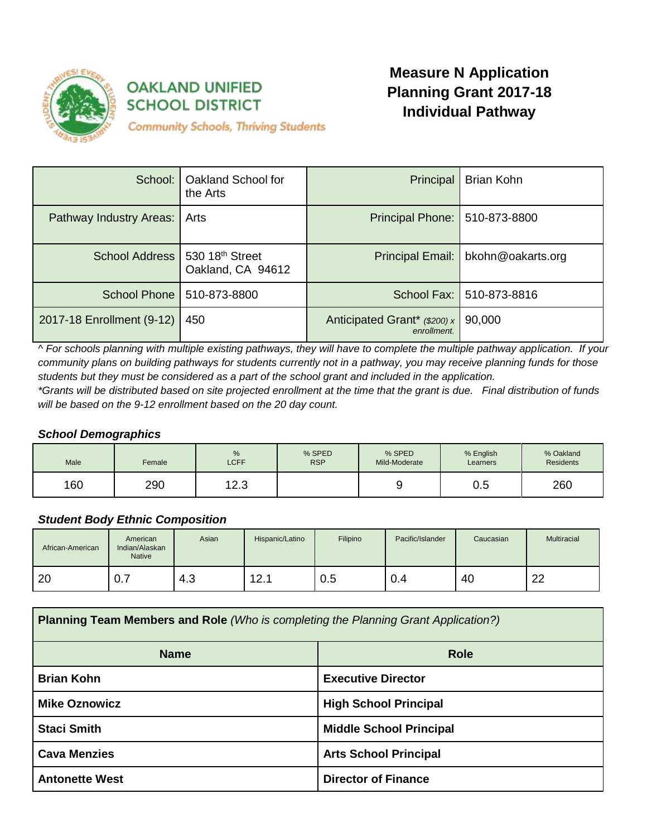

# **OAKLAND UNIFIED SCHOOL DISTRICT**

# **Measure N Application Planning Grant 2017-18 Individual Pathway**

**Community Schools, Thriving Students** 

|                                | School:   Oakland School for<br>the Arts | Principal                                   | Brian Kohn                           |
|--------------------------------|------------------------------------------|---------------------------------------------|--------------------------------------|
| Pathway Industry Areas:        | Arts                                     | Principal Phone: 510-873-8800               |                                      |
| School Address 530 18th Street | Oakland, CA 94612                        |                                             | Principal Email:   bkohn@oakarts.org |
|                                | School Phone   510-873-8800              |                                             | School Fax: 510-873-8816             |
| 2017-18 Enrollment (9-12)      | 450                                      | Anticipated Grant* (\$200) x<br>enrollment. | 90,000                               |

*^ For schools planning with multiple existing pathways, they will have to complete the multiple pathway application. If your community plans on building pathways for students currently not in a pathway, you may receive planning funds for those students but they must be considered as a part of the school grant and included in the application.*

*\*Grants will be distributed based on site projected enrollment at the time that the grant is due. Final distribution of funds will be based on the 9-12 enrollment based on the 20 day count.*

# *School Demographics*

| Male | Female | %<br><b>LCFF</b> | % SPED<br><b>RSP</b> | % SPED<br>Mild-Moderate | % English<br>Learners | % Oakland<br><b>Residents</b> |
|------|--------|------------------|----------------------|-------------------------|-----------------------|-------------------------------|
| 160  | 290    | 12.3             |                      |                         | $\sim$<br>ບ.ບ         | 260                           |

# *Student Body Ethnic Composition*

| African-American | American<br>Indian/Alaskan<br><b>Native</b> | Asian | Hispanic/Latino | Filipino | Pacific/Islander | Caucasian | Multiracial |
|------------------|---------------------------------------------|-------|-----------------|----------|------------------|-----------|-------------|
| 20               | -0.7                                        | 4.3   | 12.1            | 0.5      | 0.4              | 40        | າາ<br>∠∠    |

| <b>Planning Team Members and Role</b> (Who is completing the Planning Grant Application?) |                                |  |  |
|-------------------------------------------------------------------------------------------|--------------------------------|--|--|
| <b>Name</b>                                                                               | <b>Role</b>                    |  |  |
| <b>Brian Kohn</b>                                                                         | <b>Executive Director</b>      |  |  |
| <b>Mike Oznowicz</b>                                                                      | <b>High School Principal</b>   |  |  |
| <b>Staci Smith</b>                                                                        | <b>Middle School Principal</b> |  |  |
| <b>Cava Menzies</b><br><b>Arts School Principal</b>                                       |                                |  |  |
| <b>Antonette West</b>                                                                     | <b>Director of Finance</b>     |  |  |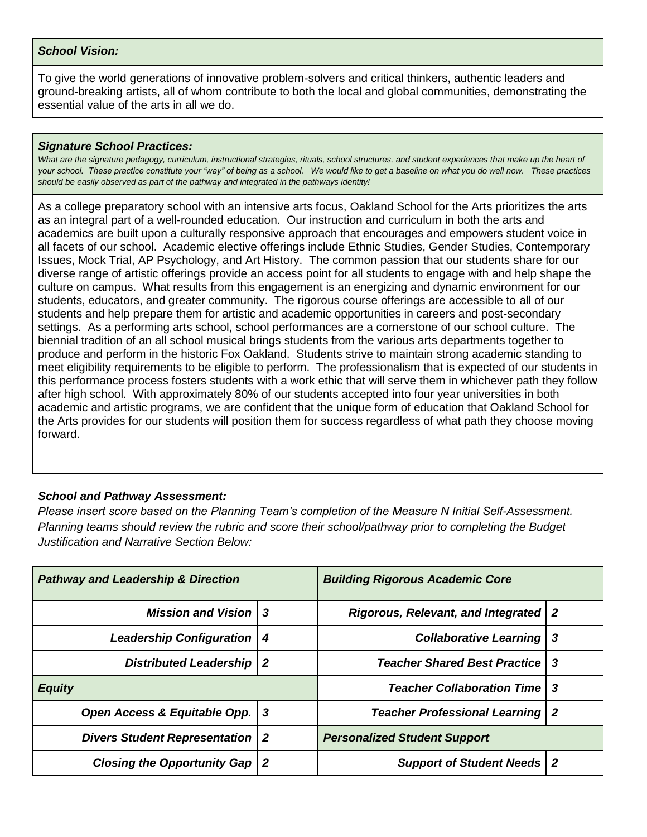#### *School Vision:*

To give the world generations of innovative problem-solvers and critical thinkers, authentic leaders and ground-breaking artists, all of whom contribute to both the local and global communities, demonstrating the essential value of the arts in all we do.

#### *Signature School Practices:*

What are the signature pedagogy, curriculum, instructional strategies, rituals, school structures, and student experiences that make up the heart of *your school. These practice constitute your "way" of being as a school. We would like to get a baseline on what you do well now. These practices should be easily observed as part of the pathway and integrated in the pathways identity!*

As a college preparatory school with an intensive arts focus, Oakland School for the Arts prioritizes the arts as an integral part of a well-rounded education. Our instruction and curriculum in both the arts and academics are built upon a culturally responsive approach that encourages and empowers student voice in all facets of our school. Academic elective offerings include Ethnic Studies, Gender Studies, Contemporary Issues, Mock Trial, AP Psychology, and Art History. The common passion that our students share for our diverse range of artistic offerings provide an access point for all students to engage with and help shape the culture on campus. What results from this engagement is an energizing and dynamic environment for our students, educators, and greater community. The rigorous course offerings are accessible to all of our students and help prepare them for artistic and academic opportunities in careers and post-secondary settings. As a performing arts school, school performances are a cornerstone of our school culture. The biennial tradition of an all school musical brings students from the various arts departments together to produce and perform in the historic Fox Oakland. Students strive to maintain strong academic standing to meet eligibility requirements to be eligible to perform. The professionalism that is expected of our students in this performance process fosters students with a work ethic that will serve them in whichever path they follow after high school. With approximately 80% of our students accepted into four year universities in both academic and artistic programs, we are confident that the unique form of education that Oakland School for the Arts provides for our students will position them for success regardless of what path they choose moving forward.

## *School and Pathway Assessment:*

*Please insert score based on the Planning Team's completion of the Measure N Initial Self-Assessment. Planning teams should review the rubric and score their school/pathway prior to completing the Budget Justification and Narrative Section Below:*

| <b>Pathway and Leadership &amp; Direction</b> |     | <b>Building Rigorous Academic Core</b>  |    |
|-----------------------------------------------|-----|-----------------------------------------|----|
| <b>Mission and Vision 3</b>                   |     | Rigorous, Relevant, and Integrated   2  |    |
| <b>Leadership Configuration</b>               | -4  | <b>Collaborative Learning</b>           | -3 |
| <b>Distributed Leadership   2</b>             |     | <b>Teacher Shared Best Practice   3</b> |    |
| <b>Equity</b>                                 |     | <b>Teacher Collaboration Time   3</b>   |    |
| Open Access & Equitable Opp.                  | - 3 | <b>Teacher Professional Learning</b>    | -2 |
| <b>Divers Student Representation   2</b>      |     | <b>Personalized Student Support</b>     |    |
| <b>Closing the Opportunity Gap</b>            | l 2 | <b>Support of Student Needs   2</b>     |    |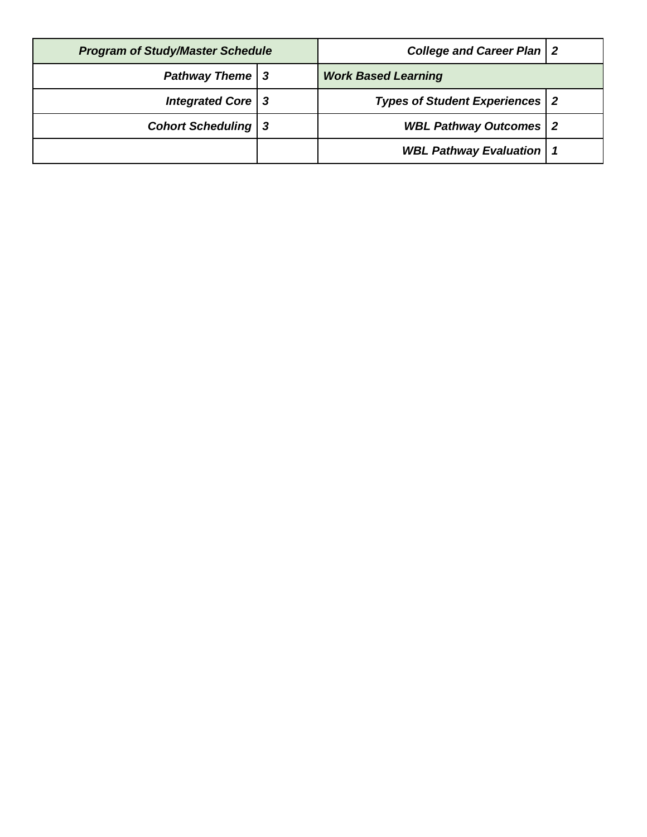| <b>Program of Study/Master Schedule</b> |  | <b>College and Career Plan   2</b>      |  |
|-----------------------------------------|--|-----------------------------------------|--|
| <b>Pathway Theme</b>   3                |  | <b>Work Based Learning</b>              |  |
| Integrated Core   3                     |  | <b>Types of Student Experiences   2</b> |  |
| <b>Cohort Scheduling   3</b>            |  | <b>WBL Pathway Outcomes   2</b>         |  |
|                                         |  | <b>WBL Pathway Evaluation   1</b>       |  |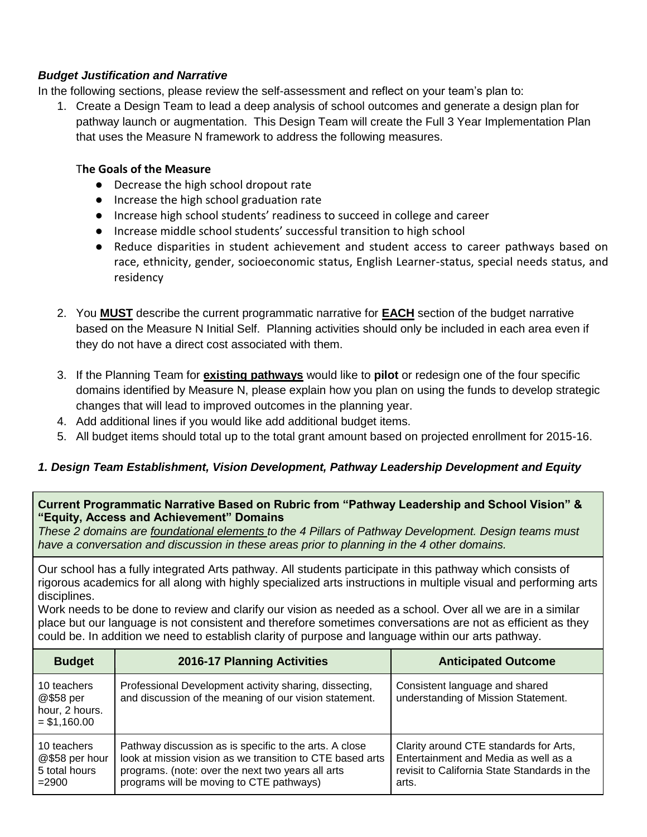# *Budget Justification and Narrative*

In the following sections, please review the self-assessment and reflect on your team's plan to:

1. Create a Design Team to lead a deep analysis of school outcomes and generate a design plan for pathway launch or augmentation. This Design Team will create the Full 3 Year Implementation Plan that uses the Measure N framework to address the following measures.

# T**he Goals of the Measure**

- Decrease the high school dropout rate
- Increase the high school graduation rate
- Increase high school students' readiness to succeed in college and career
- Increase middle school students' successful transition to high school
- Reduce disparities in student achievement and student access to career pathways based on race, ethnicity, gender, socioeconomic status, English Learner-status, special needs status, and residency
- 2. You **MUST** describe the current programmatic narrative for **EACH** section of the budget narrative based on the Measure N Initial Self. Planning activities should only be included in each area even if they do not have a direct cost associated with them.
- 3. If the Planning Team for **existing pathways** would like to **pilot** or redesign one of the four specific domains identified by Measure N, please explain how you plan on using the funds to develop strategic changes that will lead to improved outcomes in the planning year.
- 4. Add additional lines if you would like add additional budget items.
- 5. All budget items should total up to the total grant amount based on projected enrollment for 2015-16.

# *1. Design Team Establishment, Vision Development, Pathway Leadership Development and Equity*

# **Current Programmatic Narrative Based on Rubric from "Pathway Leadership and School Vision" & "Equity, Access and Achievement" Domains**

*These 2 domains are foundational elements to the 4 Pillars of Pathway Development. Design teams must have a conversation and discussion in these areas prior to planning in the 4 other domains.*

Our school has a fully integrated Arts pathway. All students participate in this pathway which consists of rigorous academics for all along with highly specialized arts instructions in multiple visual and performing arts disciplines.

Work needs to be done to review and clarify our vision as needed as a school. Over all we are in a similar place but our language is not consistent and therefore sometimes conversations are not as efficient as they could be. In addition we need to establish clarity of purpose and language within our arts pathway.

| <b>Budget</b>                                               | 2016-17 Planning Activities                                                                                                                                                                                          | <b>Anticipated Outcome</b>                                                                                                              |
|-------------------------------------------------------------|----------------------------------------------------------------------------------------------------------------------------------------------------------------------------------------------------------------------|-----------------------------------------------------------------------------------------------------------------------------------------|
| 10 teachers<br>@\$58 per<br>hour, 2 hours.<br>$= $1,160.00$ | Professional Development activity sharing, dissecting,<br>and discussion of the meaning of our vision statement.                                                                                                     | Consistent language and shared<br>understanding of Mission Statement.                                                                   |
| 10 teachers<br>@\$58 per hour<br>5 total hours<br>$= 2900$  | Pathway discussion as is specific to the arts. A close<br>look at mission vision as we transition to CTE based arts<br>programs. (note: over the next two years all arts<br>programs will be moving to CTE pathways) | Clarity around CTE standards for Arts,<br>Entertainment and Media as well as a<br>revisit to California State Standards in the<br>arts. |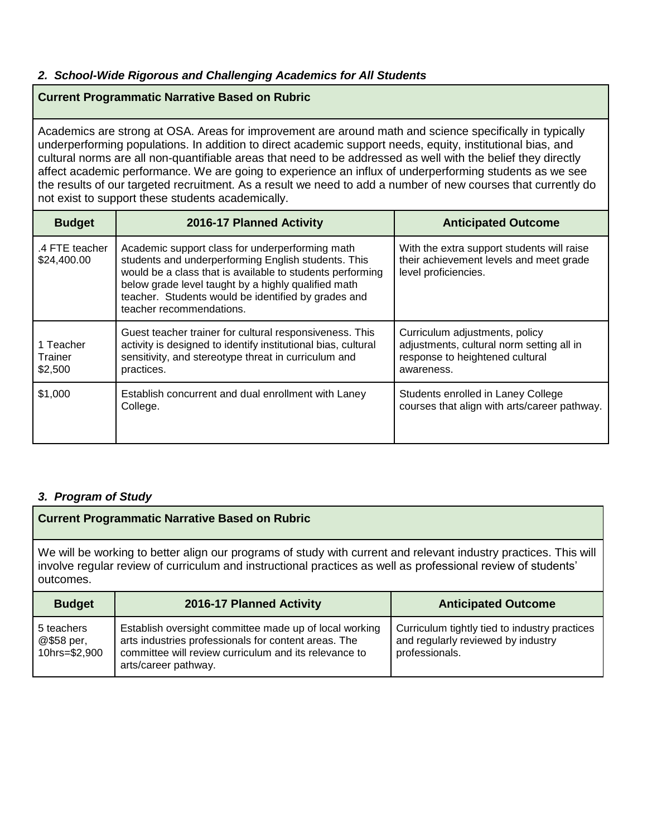# *2. School-Wide Rigorous and Challenging Academics for All Students*

### **Current Programmatic Narrative Based on Rubric**

Academics are strong at OSA. Areas for improvement are around math and science specifically in typically underperforming populations. In addition to direct academic support needs, equity, institutional bias, and cultural norms are all non-quantifiable areas that need to be addressed as well with the belief they directly affect academic performance. We are going to experience an influx of underperforming students as we see the results of our targeted recruitment. As a result we need to add a number of new courses that currently do not exist to support these students academically.

| <b>Budget</b>                   | 2016-17 Planned Activity                                                                                                                                                                                                                                                                                      | <b>Anticipated Outcome</b>                                                                                                   |
|---------------------------------|---------------------------------------------------------------------------------------------------------------------------------------------------------------------------------------------------------------------------------------------------------------------------------------------------------------|------------------------------------------------------------------------------------------------------------------------------|
| .4 FTE teacher<br>\$24,400.00   | Academic support class for underperforming math<br>students and underperforming English students. This<br>would be a class that is available to students performing<br>below grade level taught by a highly qualified math<br>teacher. Students would be identified by grades and<br>teacher recommendations. | With the extra support students will raise<br>their achievement levels and meet grade<br>level proficiencies.                |
| 1 Teacher<br>Trainer<br>\$2,500 | Guest teacher trainer for cultural responsiveness. This<br>activity is designed to identify institutional bias, cultural<br>sensitivity, and stereotype threat in curriculum and<br>practices.                                                                                                                | Curriculum adjustments, policy<br>adjustments, cultural norm setting all in<br>response to heightened cultural<br>awareness. |
| \$1,000                         | Establish concurrent and dual enrollment with Laney<br>College.                                                                                                                                                                                                                                               | Students enrolled in Laney College<br>courses that align with arts/career pathway.                                           |

# *3. Program of Study*

## **Current Programmatic Narrative Based on Rubric**

We will be working to better align our programs of study with current and relevant industry practices. This will involve regular review of curriculum and instructional practices as well as professional review of students' outcomes.

| <b>Budget</b>                             | 2016-17 Planned Activity                                                                                                                                                                        | <b>Anticipated Outcome</b>                                                                            |
|-------------------------------------------|-------------------------------------------------------------------------------------------------------------------------------------------------------------------------------------------------|-------------------------------------------------------------------------------------------------------|
| 5 teachers<br>@\$58 per,<br>10hrs=\$2,900 | Establish oversight committee made up of local working<br>arts industries professionals for content areas. The<br>committee will review curriculum and its relevance to<br>arts/career pathway. | Curriculum tightly tied to industry practices<br>and regularly reviewed by industry<br>professionals. |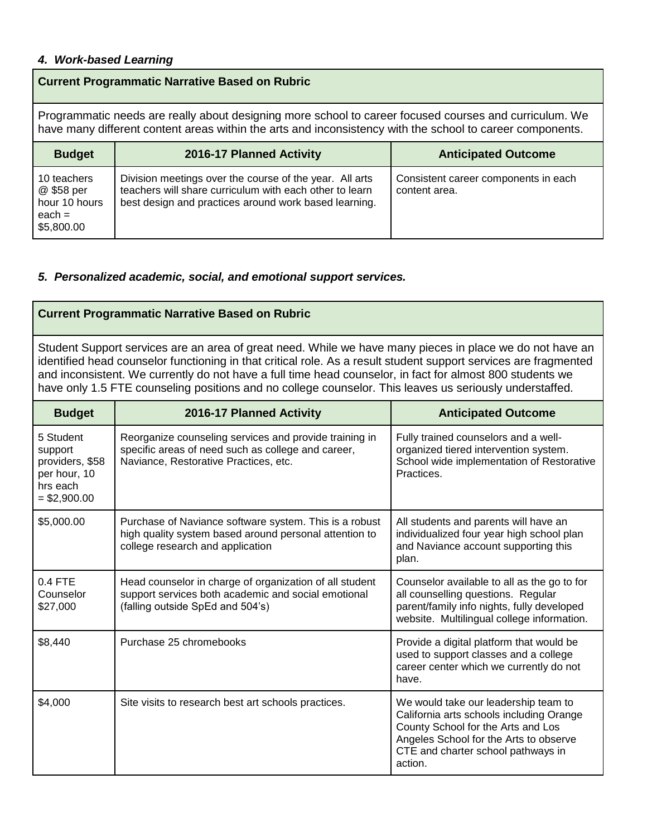### *4. Work-based Learning*

# **Current Programmatic Narrative Based on Rubric**

Programmatic needs are really about designing more school to career focused courses and curriculum. We have many different content areas within the arts and inconsistency with the school to career components.

| <b>Budget</b>                                                        | 2016-17 Planned Activity                                                                                                                                                    | <b>Anticipated Outcome</b>                            |
|----------------------------------------------------------------------|-----------------------------------------------------------------------------------------------------------------------------------------------------------------------------|-------------------------------------------------------|
| 10 teachers<br>@ \$58 per<br>hour 10 hours<br>$each =$<br>\$5,800.00 | Division meetings over the course of the year. All arts<br>teachers will share curriculum with each other to learn<br>best design and practices around work based learning. | Consistent career components in each<br>content area. |

#### *5. Personalized academic, social, and emotional support services.*

#### **Current Programmatic Narrative Based on Rubric**

Student Support services are an area of great need. While we have many pieces in place we do not have an identified head counselor functioning in that critical role. As a result student support services are fragmented and inconsistent. We currently do not have a full time head counselor, in fact for almost 800 students we have only 1.5 FTE counseling positions and no college counselor. This leaves us seriously understaffed.

| <b>Budget</b>                                                                        | 2016-17 Planned Activity                                                                                                                              | <b>Anticipated Outcome</b>                                                                                                                                                                                        |
|--------------------------------------------------------------------------------------|-------------------------------------------------------------------------------------------------------------------------------------------------------|-------------------------------------------------------------------------------------------------------------------------------------------------------------------------------------------------------------------|
| 5 Student<br>support<br>providers, \$58<br>per hour, 10<br>hrs each<br>$= $2,900.00$ | Reorganize counseling services and provide training in<br>specific areas of need such as college and career,<br>Naviance, Restorative Practices, etc. | Fully trained counselors and a well-<br>organized tiered intervention system.<br>School wide implementation of Restorative<br>Practices.                                                                          |
| \$5,000.00                                                                           | Purchase of Naviance software system. This is a robust<br>high quality system based around personal attention to<br>college research and application  | All students and parents will have an<br>individualized four year high school plan<br>and Naviance account supporting this<br>plan.                                                                               |
| $0.4$ FTE<br>Counselor<br>\$27,000                                                   | Head counselor in charge of organization of all student<br>support services both academic and social emotional<br>(falling outside SpEd and 504's)    | Counselor available to all as the go to for<br>all counselling questions. Regular<br>parent/family info nights, fully developed<br>website. Multilingual college information.                                     |
| \$8,440                                                                              | Purchase 25 chromebooks                                                                                                                               | Provide a digital platform that would be<br>used to support classes and a college<br>career center which we currently do not<br>have.                                                                             |
| \$4,000                                                                              | Site visits to research best art schools practices.                                                                                                   | We would take our leadership team to<br>California arts schools including Orange<br>County School for the Arts and Los<br>Angeles School for the Arts to observe<br>CTE and charter school pathways in<br>action. |